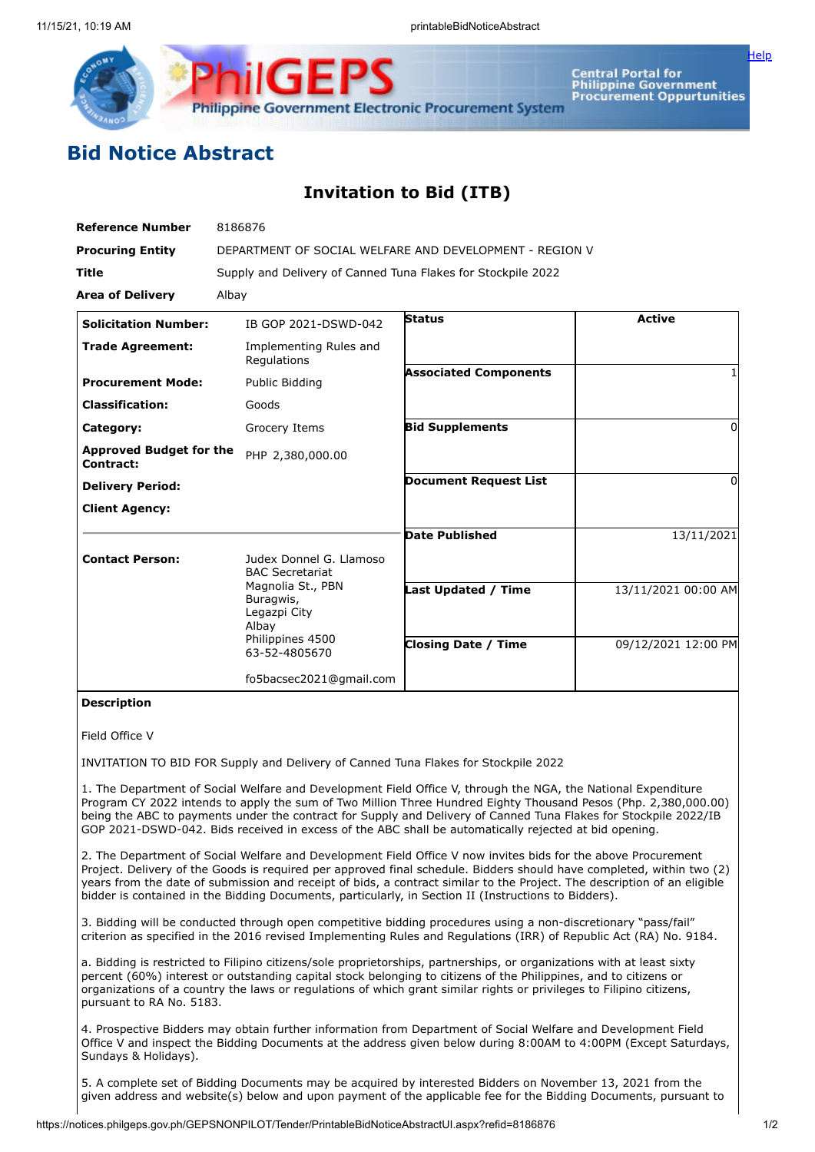

**Central Portal for** Central Portal for<br>Philippine Government<br>Procurement Oppurtunities

[Help](javascript:void(window.open()

# **Bid Notice Abstract**

## **Invitation to Bid (ITB)**

| <b>Reference Number</b>                     | 8186876                                                                                      |                              |                     |
|---------------------------------------------|----------------------------------------------------------------------------------------------|------------------------------|---------------------|
| <b>Procuring Entity</b>                     | DEPARTMENT OF SOCIAL WELFARE AND DEVELOPMENT - REGION V                                      |                              |                     |
| <b>Title</b>                                | Supply and Delivery of Canned Tuna Flakes for Stockpile 2022                                 |                              |                     |
| <b>Area of Delivery</b>                     | Albay                                                                                        |                              |                     |
| <b>Solicitation Number:</b>                 | IB GOP 2021-DSWD-042                                                                         | <b>Status</b>                | <b>Active</b>       |
| <b>Trade Agreement:</b>                     | Implementing Rules and<br>Regulations                                                        |                              |                     |
| <b>Procurement Mode:</b>                    | Public Bidding                                                                               | <b>Associated Components</b> |                     |
| <b>Classification:</b>                      | Goods                                                                                        |                              |                     |
| Category:                                   | Grocery Items                                                                                | <b>Bid Supplements</b>       | 0                   |
| <b>Approved Budget for the</b><br>Contract: | PHP 2,380,000.00                                                                             |                              |                     |
| <b>Delivery Period:</b>                     |                                                                                              | <b>Document Request List</b> | 0                   |
| <b>Client Agency:</b>                       |                                                                                              |                              |                     |
|                                             |                                                                                              | <b>Date Published</b>        | 13/11/2021          |
| <b>Contact Person:</b>                      | Judex Donnel G. Llamoso<br><b>BAC Secretariat</b>                                            |                              |                     |
|                                             | Magnolia St., PBN<br>Buragwis,<br>Legazpi City<br>Albay<br>Philippines 4500<br>63-52-4805670 | <b>Last Updated / Time</b>   | 13/11/2021 00:00 AM |
|                                             |                                                                                              | <b>Closing Date / Time</b>   | 09/12/2021 12:00 PM |
|                                             | fo5bacsec2021@gmail.com                                                                      |                              |                     |

### **Description**

#### Field Office V

INVITATION TO BID FOR Supply and Delivery of Canned Tuna Flakes for Stockpile 2022

1. The Department of Social Welfare and Development Field Office V, through the NGA, the National Expenditure Program CY 2022 intends to apply the sum of Two Million Three Hundred Eighty Thousand Pesos (Php. 2,380,000.00) being the ABC to payments under the contract for Supply and Delivery of Canned Tuna Flakes for Stockpile 2022/IB GOP 2021-DSWD-042. Bids received in excess of the ABC shall be automatically rejected at bid opening.

2. The Department of Social Welfare and Development Field Office V now invites bids for the above Procurement Project. Delivery of the Goods is required per approved final schedule. Bidders should have completed, within two (2) years from the date of submission and receipt of bids, a contract similar to the Project. The description of an eligible bidder is contained in the Bidding Documents, particularly, in Section II (Instructions to Bidders).

3. Bidding will be conducted through open competitive bidding procedures using a non-discretionary "pass/fail" criterion as specified in the 2016 revised Implementing Rules and Regulations (IRR) of Republic Act (RA) No. 9184.

a. Bidding is restricted to Filipino citizens/sole proprietorships, partnerships, or organizations with at least sixty percent (60%) interest or outstanding capital stock belonging to citizens of the Philippines, and to citizens or organizations of a country the laws or regulations of which grant similar rights or privileges to Filipino citizens, pursuant to RA No. 5183.

4. Prospective Bidders may obtain further information from Department of Social Welfare and Development Field Office V and inspect the Bidding Documents at the address given below during 8:00AM to 4:00PM (Except Saturdays, Sundays & Holidays).

5. A complete set of Bidding Documents may be acquired by interested Bidders on November 13, 2021 from the given address and website(s) below and upon payment of the applicable fee for the Bidding Documents, pursuant to